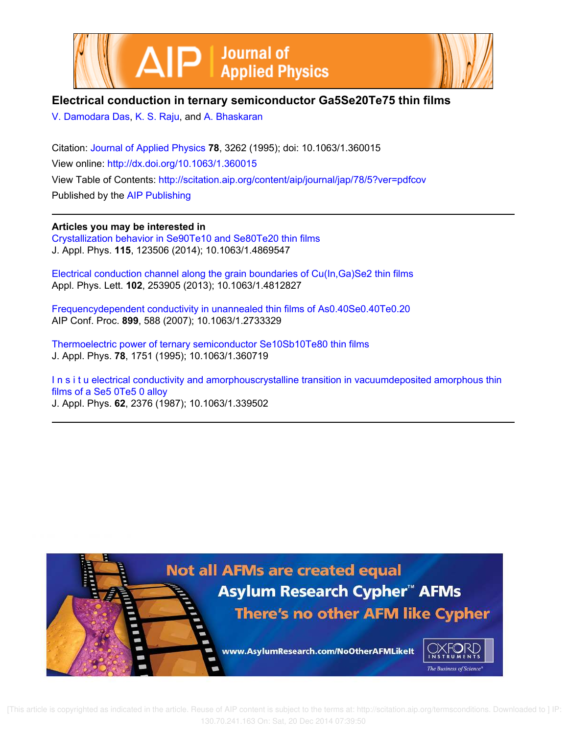



# **Electrical conduction in ternary semiconductor Ga5Se20Te75 thin films**

V. Damodara Das, K. S. Raju, and A. Bhaskaran

Citation: Journal of Applied Physics **78**, 3262 (1995); doi: 10.1063/1.360015 View online: http://dx.doi.org/10.1063/1.360015 View Table of Contents: http://scitation.aip.org/content/aip/journal/jap/78/5?ver=pdfcov Published by the AIP Publishing

**Articles you may be interested in** Crystallization behavior in Se90Te10 and Se80Te20 thin films J. Appl. Phys. **115**, 123506 (2014); 10.1063/1.4869547

Electrical conduction channel along the grain boundaries of Cu(In,Ga)Se2 thin films Appl. Phys. Lett. **102**, 253905 (2013); 10.1063/1.4812827

Frequencydependent conductivity in unannealed thin films of As0.40Se0.40Te0.20 AIP Conf. Proc. **899**, 588 (2007); 10.1063/1.2733329

Thermoelectric power of ternary semiconductor Se10Sb10Te80 thin films J. Appl. Phys. **78**, 1751 (1995); 10.1063/1.360719

In s i t u electrical conductivity and amorphouscrystalline transition in vacuumdeposited amorphous thin films of a Se5 0Te5 0 alloy J. Appl. Phys. **62**, 2376 (1987); 10.1063/1.339502



 [This article is copyrighted as indicated in the article. Reuse of AIP content is subject to the terms at: http://scitation.aip.org/termsconditions. Downloaded to ] IP: 130.70.241.163 On: Sat, 20 Dec 2014 07:39:50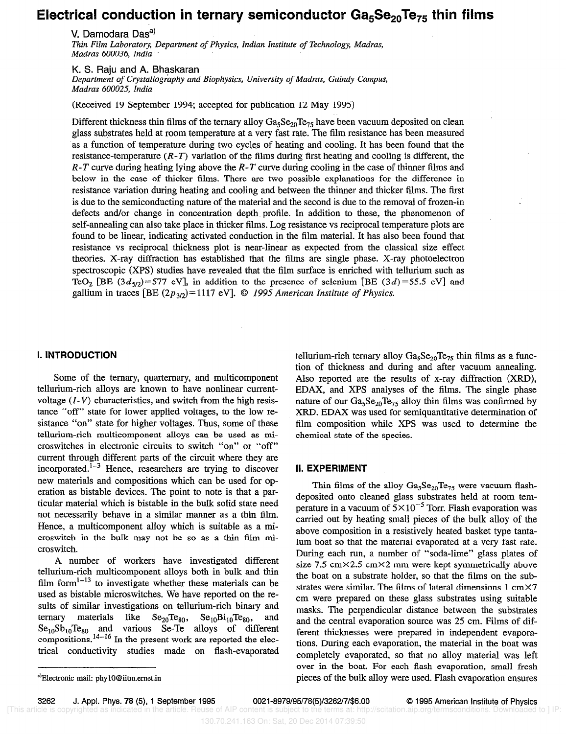# Electrical conduction in ternary semiconductor  $Ga_5Se_{20}Te_{75}$  thin films

V. Damodara Dasa)

Thin Film Laboratory, Department of Physics, Indian Institute of Technology, Madras, Madras 600036, India

K. S. Raju and A. Bhaskaran

Department of Crystallography and Biophysics, University of Madras, Guindy Campus, Madras 600025, India

(Received 19 September 1994; accepted for publication 12 May 1995)

Different thickness thin films of the ternary alloy  $Ga_5Se_{20}Te_{75}$  have been vacuum deposited on clean glass substrates held at room temperature at a very fast rate. The film resistance has been measured as a function of temperature during two cycles of heating and cooling. Et has been found that the resistance-temperature  $(R-T)$  variation of the films during first heating and cooling is different, the  $R$ -T curve during heating lying above the  $R$ -T curve during cooling in the case of thinner films and below in the case of thicker films. There are two possible explanations for the difference in resistance variation during heating and cooling and between the thinner and thicker films. The first is due to the semiconducting nature of the material and the second is due to the removal of frozen-in defects and/or change in concentration depth profile. In addition to these, the phenomenon of self-annealing can also take place in thicker films. Log resistance vs reciprocal temperature plots are found to be linear, indicating activated conduction in the film material. It has also been found that resistance vs reciprocal thickness plot is near-linear as expected from the classical size effect theories. X-ray diffraction has established that the films are single phase. X-ray photoelectron spectroscopic (XPS) studies have revealed that the film surface is enriched with tellurium such as TeO<sub>2</sub> [BE (3d<sub>5/2</sub>)=577 eV], in addition to the presence of selenium [BE (3d)=55.5 eV] and gallium in traces [BE  $(2p_{3/2})=1117 \text{ eV}$ ]. © 1995 American Institute of Physics.

#### I. INTRODUCTION

Some of the ternary, quarternary, and multicomponent tellurium-rich alloys are known to have nonlinear currentvoltage  $(I-V)$  characteristics, and switch from the high resistance "off" state for lower applied voltages, to the low resistance "on" state for higher voltages. Thus, some of these tellurium-rich multicomponent alloys can be used as microswitches in electronic circuits to switch "on" or "off" current through different parts of the circuit where they are incorporated. $\overline{I}^{-3}$  Hence, researchers are trying to discover new materials and compositions which can be used for operation as bistable devices. The point to note is that a particular material which is bistable in the bulk solid state need not necessarily behave in a similar manner as a thin film. Hence, a multicomponent aIloy which is suitable as a microswitch in the bulk may not be so as a thin film microswitch.

A number of workers have investigated different tellurium-rich multicomponent alloys both in bulk and thin film form $1-13$  to investigate whether these materials can be used as bistable microswitches. We have reported on the results of similar investigations on tellurium-rich binary and ternary materials like  $Se_{20}Te_{80}$ ,  $Se_{10}Bi_{10}Te_{80}$ , and  $Se_{10}Sb_{10}Te_{80}$  and various Se-Te alloys of different compositions. $^{14-16}$  In the present work are reported the electrical conductivity studies made on flash-evaporated tellurium-rich ternary alloy  $Ga_5Se_{20}Te_{75}$  thin films as a function of thickness and during and after vacuum annealing. Also reported are the results of x-ray diffraction (XRD), EDAX, and XPS analyses of the films. The single phase nature of our  $Ga_5Se_{20}Te_{75}$  alloy thin films was confirmed by XRD. EDAX was used for semiquantitative determination of film composition while XPS was used to determine the chemical state of the species.

#### II. EXPERIMENT

Thin films of the alloy  $Ga_5Se_{20}Te_{75}$  were vacuum flashdeposited onto cleaned glass substrates held at room temperature in a vacuum of  $5 \times 10^{-5}$  Torr. Flash evaporation was carried out by heating small pieces of the bulk alloy of the above composition in a resistively heated basket type tantalum boat so that the material evaporated at a very fast rate. During each run, a number of "soda-lime" gIass plates of size 7.5 cm $\times$ 2.5 cm $\times$ 2 mm were kept symmetrically above the boat on a substrate holder, so that the films on the substrates were similar. The films of lateral dimensions  $1 \text{ cm} \times 7$ cm were prepared on these glass substrates using suitable masks. The perpendicular distance between the substrates and the central evaporation source was 25 cm. Films of different thicknesses were prepared in independent evaporations. During each evaporation, the material in the boat was completely evaporated, so that no alloy material was left over in the boat. For each flash evaporation, small fresh pieces of the bulk alloy were used. Flash evaporation ensures

3262 J. Appl. Phys. 78 (5), 1 September 1995 0021-8979/95/78(5)/3262/7/\$6.00 Q 1995 American Institute of Physics

a)Electronic mail: phy10@iitm.ernet.in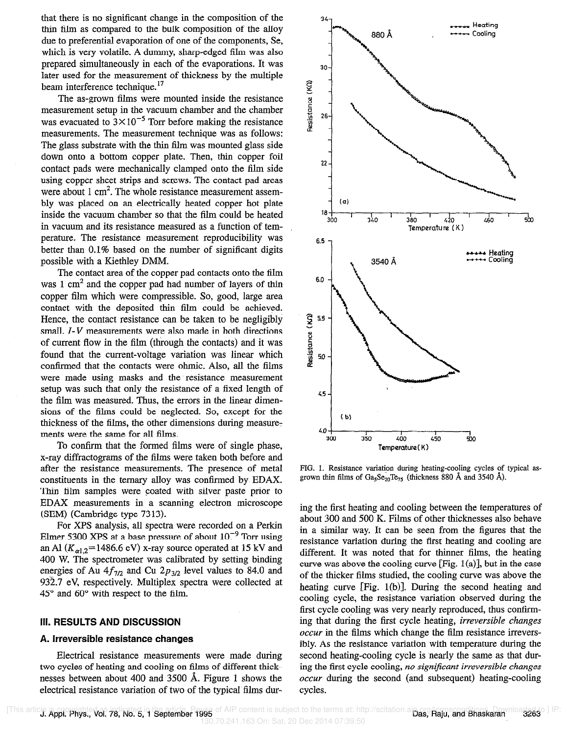that there is no significant change in the composition of the thin tilm as compared to the bulk composition of the alloy due to preferential evaporation of one of the components, Se, which is very volatile. A dummy, sharp-edged film was also prepared simultaneously in each of the evaporations. It was later used for the measurement of thickness by the multiple beam interference technique.<sup>17</sup>

The as-grown films were mounted inside the resistance measurement setup in the vacuum chamber and the chamber was evacuated to  $3 \times 10^{-5}$  Torr before making the resistance measurements. The measurement technique was as follows: The glass substrate with the thin film was mounted glass side down onto a bottom copper plate. Then, thin copper foil contact pads were mechanically clamped onto the film side using copper sheet strips and screws. The contact pad areas were about 1 cm<sup>2</sup>. The whole resistance measurement assembly was placed on an electrically heated copper hot plate inside the vacuum chamber so that the film could be heated in vacuum and its resistance measured as a function of temperature. The resistance measurement reproducibility was better than 0.1% based on the number of significant digits possible with a Kiethley DMM.

The contact area of the copper pad contacts onto the film was  $1 \text{ cm}^2$  and the copper pad had number of layers of thin copper film which were compressible. So, good, large area contact with the deposited thin film could be achieved. Hence, the contact resistance can be taken to be negligibly small. *I*-*V* measurements were also made in both directions of current flow in the film (through the contacts) and it was found that the current-voltage variation was linear which confirmed that the contacts were ohmic. Also, all the films were made using masks and the resistance measurement setup was such that only the resistance of a fixed length of the film was measured. Thus, the errors in the linear dimensions of the films could be neglected. So, except for the thickness of the films, the other dimensions during measurements were the same for all films.

To confirm that the formed films were of single phase, x-ray diffractograms of the films were taken both before and after the resistance measurements. The presence of metal constituents in the ternary alloy was confirmed by EDAX. Thin film samples were coated with silver paste prior to EDAX measurements in a scanning electron microscope (.SEM) (Cambridge type 7313).

For XPS analysis, all spectra were recorded on a Perkin Elmer 5300 XPS at a base pressure of about  $10^{-9}$  Torr using an Al  $(K_{\alpha1.2} = 1486.6 \text{ eV})$  x-ray source operated at 15 kV and 400 W. The spectrometer was calibrated by setting binding energies of Au  $4f_{7/2}$  and Cu  $2p_{3/2}$  level values to 84.0 and 932.7 eV, respectively. Multiplex spectra were collected at  $45^{\circ}$  and  $60^{\circ}$  with respect to the film.

## III. RESULTS AND DISCUSSION

### A. Irreversible resistance changes

Electrical resistance measurements were made during two cycles of heating and cooling on films of different thicknesses between about 400 and 3500 A. Figure 1 shows the electrical resistance variation of two of the typical films dur-



FIG. 1. Resistance variation during heating-cooling cycles of typical asgrown thin films of  $Ga_5Se_{20}Te_{75}$  (thickness 880 Å and 3540 Å).

ing the first heating and cooling between the temperatures of about 300 and 500 K. Films of other thicknesses also behave in a similar way. It can be seen from the figures that the resistance variation during the first heating and cooling are different. It was noted that for thinner films, the heating curve was above the cooling curve  $[Fig. 1(a)],$  but in the case of the thicker films studied, the cooling curve was above the heating curve [Fig. l(b)]. During the second heating and cooling cycle, the resistance variation observed during the first cycle cooling was very nearly reproduced, thus contirming that during the first cycle heating, irreversible changes occur in the films which change the film resistance irreversibly. As the resistance variation with temperature during the second heating-cooling cycle is nearly the same as that during the first cycle cooling, no significant irreversible changes occur during the second (and subsequent) heating-cooling cycles.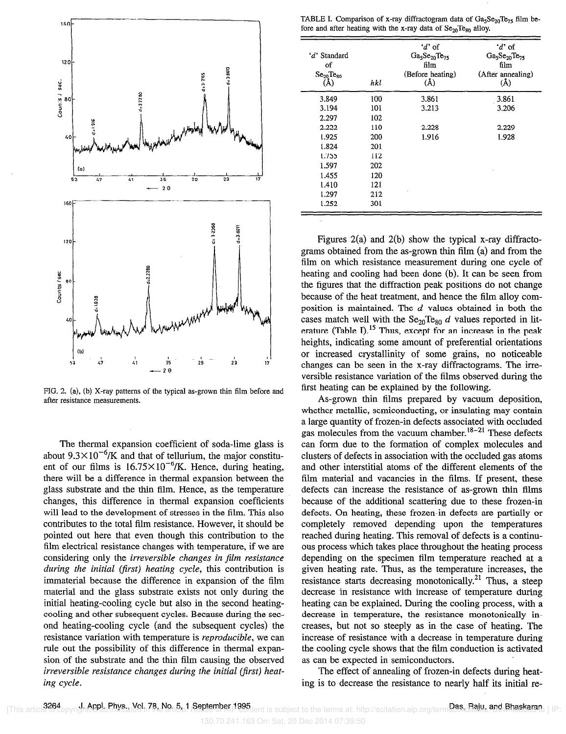

FIG. 2. (a), (b) X-ray patterns of the typical as-grown thin film before and after resistance measurements.

The thermal expansion coefficient of soda-lime glass is about  $9.3 \times 10^{-6}$ /K and that of tellurium, the major constituent of our films is  $16.75 \times 10^{-6}$ /K. Hence, during heating, there will be a difference in thermal expansion between the glass substrate and the thin film. Hence, as the temperature changes, this difference in thermal expansion coefficients will lead to the development of stresses in the film. This also contributes to the total film resistance. However, it should be pointed out here that even though this contribution to the film electrical resistance changes with temperature, if we are considering only the *irreversible changes in film resistance* during the initial (first) heating cycle, this contribution is immaterial because the difference in expansion of the film material and the glass substrate exists not only during the initial heating-cooling cycle but also in the second heatingcooling and other subsequent cycles. Because during the second heating-cooling cycle (and the subsequent cycles) the resistance variation with temperature is *reproducible*, we can rule out the possibility of this difference in thermal expansion of the substrate and the thin film causing the observed irreversible resistance changes during the initial (first) heating cycle.

TABLE I. Comparison of x-ray diffractogram data of  $Ga_3Se_{20}Te_{75}$  film before and after heating with the x-ray data of  $Se_{20}Te_{80}$  alloy.

| 'd' Standard<br>of<br>Se <sub>20</sub> Te <sub>80</sub><br>(Å) | hkl | $'d'$ of<br>$Ga5Se20Te75$<br>film<br>(Before heating)<br>$(\text{Å})$ | $d$ of<br>$Ga_3Se_{20}Te_{75}$<br>film<br>(After annealing)<br>(A) |
|----------------------------------------------------------------|-----|-----------------------------------------------------------------------|--------------------------------------------------------------------|
| 3.849                                                          | 100 | 3.861                                                                 | 3.861                                                              |
| 3.194                                                          | 101 | 3.213                                                                 | 3.206                                                              |
| 2.297                                                          | 102 |                                                                       |                                                                    |
| 2.222                                                          | 110 | 2.228                                                                 | 2.229                                                              |
| 1.925                                                          | 200 | 1.916                                                                 | 1.928                                                              |
| 1.824                                                          | 201 |                                                                       |                                                                    |
| 1.755                                                          | 112 |                                                                       |                                                                    |
| 1.597                                                          | 202 |                                                                       |                                                                    |
| 1.455                                                          | 120 |                                                                       |                                                                    |
| 1.410                                                          | 121 |                                                                       |                                                                    |
| 1.297                                                          | 212 |                                                                       |                                                                    |
| 1.252                                                          | 301 |                                                                       |                                                                    |

Figures  $2(a)$  and  $2(b)$  show the typical x-ray diffractograms obtained from the as-grown thin film (a) and from the film on which resistance measurement during one cycle of heating and cooling had been done (b). It can be seen from the figures that the diffraction peak positions do not change because of the heat treatment, and hence the film alloy composition is maintained. The  $d$  values obtained in both the cases match well with the  $Se_{20}Te_{80}$  d values reported in literature (Table I).<sup>15</sup> Thus, except for an increase in the peak heights, indicating some amount of preferential orientations or increased crystallinity of some grains, no noticeable changes can be seen in the x-ray diffractograms. The irreversible resistance variation of the films observed during the first heating can be explained by the following.

As-grown thin films prepared by vacuum deposition, whether metallic, semiconducting, or insulating may contain a large quantity of frozen-in defects associated with occluded gas molecules from the vacuum chamber.<sup>18-21</sup> These defects can form due to the formation of complex molecules and clusters of defects in association with the occluded gas atoms and other interstitial atoms of the different elements of the film material and vacancies in the films. If present, these defects can increase the resistance of as-grown thin films because of the additional scattering due to these frozen-in defects. On heating, these frozen-in defects are partially or completely removed depending upon the temperatures reached during heating. This removal of defects is a continuous process which takes place throughout the heating process depending on the specimen film temperature reached at a given heating rate. Thus, as the temperature increases, the resistance starts decreasing monotonically.<sup>21</sup> Thus, a steep decrease in resistance with increase of temperature during heating can be explained. During the cooling process, with a decrease in temperature, the resistance monotonically increases, but not so steeply as in the case of heating. The increase of resistance with a decrease in temperature during the cooling cycle shows that the film conduction is activated as can be expected in semiconductors.

The effect of annealing of frozen-in defects during heating is to decrease the resistance to nearly half its initial re-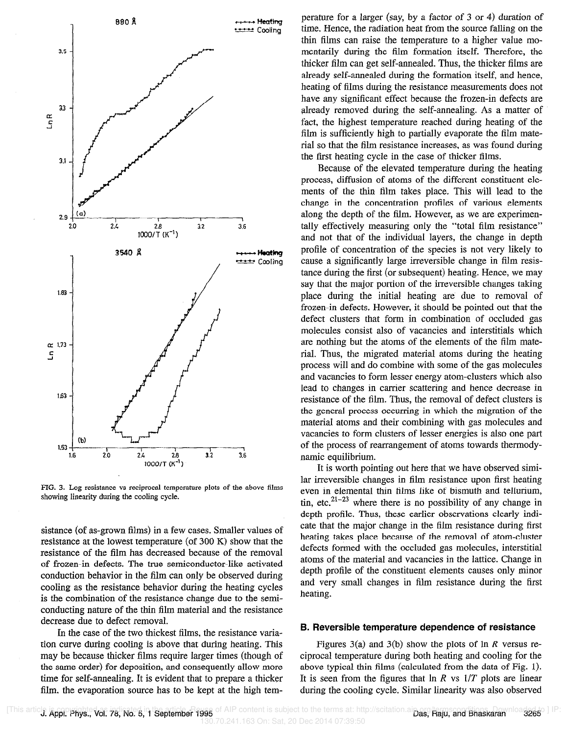

FIG. 3. Log resistance vs reciprocal temperature plots of the above films showing linearity during the cooling cycle.

sistance (of as-grown films) in a few cases. Smaller values of resistance at the lowest temperature (of 300 K) show that the resistance of the film has decreased because of the removal of frozen-in defects. The true semiconductor-like activated conduction behavior in the film can only be observed during cooling as the resistance behavior during the heating cycles is the combination of the resistance change due to the semiconducting nature of the thin film material and the resistance decrease due to defect removal.

In the case of the two thickest films, the resistance variation curve during cooling is above that during heating. This may be because thicker films require larger times (though of the same order) for deposition, and consequently allow more time for self-annealing. It is evident that to prepare a thicker film, the evaporation source has to be kept at the high tem-

perature for a larger (say, by a factor of 3 or 4) duration of time. Hence, the radiation heat from the source falling on the thin films can raise the temperature to a higher value momentarily during the film formation itself. Therefore, the thicker film can get self-annealed. Thus, the thicker films are already self-annealed during the formation itself, and hence, heating of films during the resistance measurements does not have any significant effect because the frozen-in defects are already removed during the self-annealing. As a matter of fact, the highest temperature reached during heating of the film is sufficiently high to partially evaporate the film material so that the film resistance increases, as was found during the first heating cycle in the case of thicker films.

Because of the elevated temperature during the heating process, diffusion of atoms of the different constituent elements of the thin film takes place. This will lead to the change in the concentration profiles of various elements along the depth of the film. However, as we are experimentally effectively measuring only the "total film resistance" and not that of the individual layers, the change in depth profile of concentration of the species is not very likely to cause a significantly large irreversible change in film resistance during the first (or subsequent) heating. Hence, we may say that the major portion of the irreversible changes taking place during the initial heating are due to removal of frozen-in defects. However, it should be pointed out that the defect clusters that form in combination of occluded gas molecules consist also of vacancies and interstitials which are nothing but the atoms of the elements of the film material. Thus, the migrated material atoms during the heating process will and do combine with some of the gas molecules and vacancies to form lesser energy atom-clusters which also lead to changes in carrier scattering and hence decrease in resistance of the film. Thus, the removal of defect clusters is the general process occurring in which the migration of the material atoms and their combining with gas molecules and vacancies to form clusters of lesser energies is also one part of the process of rearrangement of atoms towards thermodynamic equilibrium.

It is worth pointing out here that we have observed similar irreversible changes in film resistance upon first heating even in elemental thin films like of bismuth and tellurium, tin, etc.<sup>21-23</sup> where there is no possibility of any change in depth profile. Thus, these earlier observations clearly indicate that the major change in the film resistance during first heating takes place because of the removal of atom-cluster defects formed with the occluded gas molecules, interstitial atoms of the material and vacancies in the lattice. Change in depth profile of the constituent elements causes only minor and very small changes in film resistance during the first heating.

### 6. Reversible temperature dependence of resistance

Figures 3(a) and 3(b) show the plots of  $\ln R$  versus reciprocal temperature during both heating and cooling for the above typical thin films (calculated from the data of Fig. 1). It is seen from the figures that  $\ln R$  vs  $1/T$  plots are linear during the cooling cycle. Similar linearity was also observed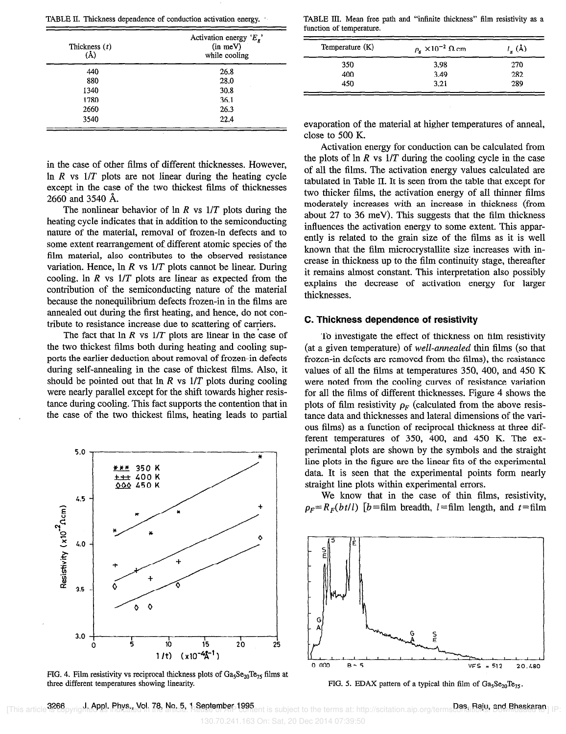TABLE II. Thickness dependence of conduction activation energy.

| Thickness $(t)$<br>(Å) | Activation energy ' $E_g$ '<br>(in meV)<br>while cooling |  |
|------------------------|----------------------------------------------------------|--|
| 440                    | 26.8                                                     |  |
| 880                    | 28.0                                                     |  |
| 1340                   | 30.8                                                     |  |
| 1780                   | 36.1                                                     |  |
| 2660                   | 26.3                                                     |  |
| 3540                   | 22.4                                                     |  |

in the case of other films of different thicknesses. However, In  $R$  vs  $1/T$  plots are not linear during the heating cycle except in the case of the two thickest films of thicknesses 2660 and 3540 A.

The nonlinear behavior of  $\ln R$  vs  $1/T$  plots during the heating cycle indicates that in addition to the semiconducting nature of the material, removal of frozen-in defects and to some extent rearrangement of different atomic species of the film material, also contributes to the observed resistance variation. Hence,  $\ln R$  vs  $1/T$  plots cannot be linear. During cooling, In  $R$  vs  $1/T$  plots are linear as expected from the contribution of the semiconducting nature of the material because the nonequilibrium defects frozen-in in the films are annealed out during the first heating, and hence, do not contribute to resistance increase due to scattering of carriers.

The fact that  $\ln R$  vs  $1/T$  plots are linear in the case of the two thickest films both during heating and cooling supports the earlier deduction about removal of frozen-in defects during self-annealing in the case of thickest films. Also, it should be pointed out that  $\ln R$  vs  $1/T$  plots during cooling were nearly parallel except for the shift towards higher resistance during cooling. This fact supports the contention that in the case of the two thickest films, heating leads to partial



FIG. 4. Film resistivity vs reciprocal thickness plots of  $Ga_5Se_{20}Te_{75}$  films at three different temperatures showing linearity.

TABLE III. Mean free path and "infinite thickness" film resistivity as a function of temperature.

| Temperature $(K)$ | $\rho_{\rm g} \times 10^{-2}$ $\Omega$ cm | $l_{\rm g}$ (Å) |
|-------------------|-------------------------------------------|-----------------|
| 350               | 3.98                                      | 270             |
| 400               | 3.49                                      | 282             |
| 450               | 3.21                                      | 289             |

evaporation of the material at higher temperatures of anneal, close to 500 K.

Activation energy for conduction can be calculated from the plots of  $\ln R$  vs  $1/T$  during the cooling cycle in the case of all the films. The activation energy values calculated are tabulated in Table II. It is seen from the table that except for two thicker films, the activation energy of all thinner films moderately increases with an increase in thickness (from about 27 to 36 meV). This suggests that the film thickness influences the activation energy to some extent. This apparently is related to the grain size of the films as it is well known that the film microcrystallite size increases with increase in thickness up to the film continuity stage, thereafter it remains almost constant. This interpretation also possibly explains the decrease of activation energy for larger thicknesses.

#### C. Thickness dependence of resistivity

To investigate the effect of thickness on film resistivity (at a given temperature) of *well-annealed* thin films (so that frozen-in defects are removed from the films), the resistance values of all the films at temperatures 350, 400, and 450 K were noted from the cooling curves of resistance variation for all the films of different thicknesses. Figure 4 shows the plots of film resistivity  $\rho_F$  (calculated from the above resistance data and thicknesses and lateral dimensions of the various films) as a function of reciprocal thickness at three different temperatures of 350, 400, and 450 K. The experimental plots are shown by the symbols and the straight line plots in the figure are the linear fits of the experimental data. It is seen that the experimental points form nearly straight line plots within experimental errors.

We know that in the case of thin films, resistivity,  $p_F=R_F(bt/l)$  [b=film breadth, l=film length, and t=film



FIG. 5. EDAX pattern of a typical thin film of  $Ga_5Se_{20}Te_{75}$ .

3266 J. Appl. Phys., Vol. 78, No. 5, 1 September 1995  $\Pi$ nis article $3266$ pyright $p$  Appl. Phys., Vol. 78, No. 5,  $1$ September 1995 $_{\rm ent}$  is subject to the terms at: http://scitation.aip.org/terms $P$ as. Raju, and Bhaskaran is an intervent in the article of  $P$ 130.70.241.163 On: Sat, 20 Dec 2014 07:39:50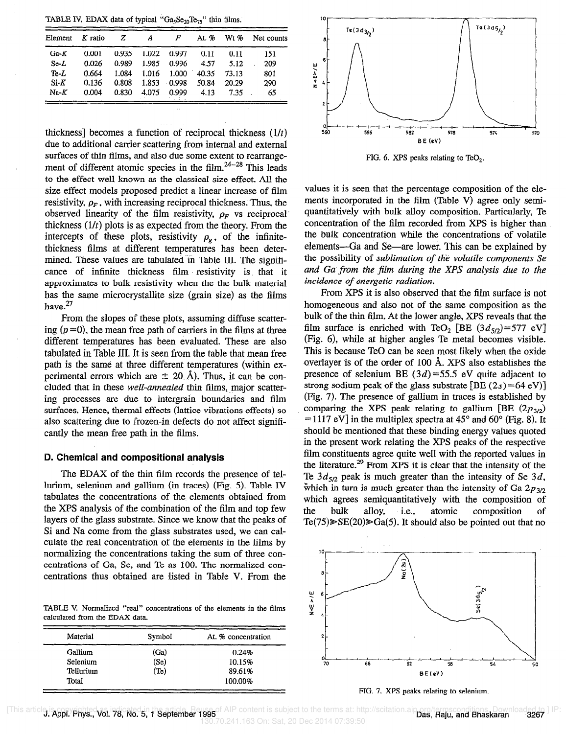TABLE IV. EDAX data of typical " $Ga_5Se_{20}Te_{75}$ " thin films.

| Element | $K$ ratio | z     | А     | F     | At $\mathcal{G}_0$ | $Wt$ % | Net counts |
|---------|-----------|-------|-------|-------|--------------------|--------|------------|
| $Ga-K$  | 0.001     | 0.935 | 1.022 | 0.997 | 0.11               | 0.11   | 151        |
| Se-L    | 0.026     | 0.989 | 1.985 | 0.996 | 4.57               | 5.12   | 209        |
| Te-L    | 0.664     | 1.084 | 1.016 | 1.000 | 40.35              | 73.13  | 801        |
| $Si-K$  | 0.136     | 0.808 | 1.853 | 0.998 | 50.84              | 20.29  | 290        |
| $Na-K$  | 0.004     | 0.830 | 4.075 | 0.999 | 4.13               | 7.35   | 65         |

thickness] becomes a function of reciprocal thickness  $(1/t)$ due to additional carrier scattering from internal and external surfaces of thin films, and also due some extent to rearrangement of different atomic species in the film. $24-28$  This leads to the effect well known as the classical size effect. All the size effect models proposed predict a linear increase of film resistivity,  $\rho_F$ , with increasing reciprocal thickness. Thus, the observed linearity of the film resistivity,  $\rho_F$  vs reciprocal thickness  $(1/t)$  plots is as expected from the theory. From the intercepts of these plots, resistivity  $\rho_{g}$ , of the infinitethickness films at different temperatures has been determined. These values are tabulated 'ih Table III. The significance of infinite thickness film resistivity is that it approximates to bulk resistivity when the the bulk material has the same microcrystallite size (grain size) as the films have.<sup>27</sup>

From the slopes of these plots, assuming diffuse scattering  $(p=0)$ , the mean free path of carriers in the films at three different temperatures has been evaluated. These are also tabulated in Table III. It is seen from the table that mean free path is the same at three different temperatures (within experimental errors which are  $\pm$  20 Å). Thus, it can be concluded that in these well-annealed thin films, major scattering processes are due to intergrain boundaries and film surfaces. Hence, thermal effects (lattice vibrations effects) so also scattering due to frozen-in defects do not affect significantly the mean free path in the films.

#### D. Chemical and compositional analysis

The EDAX of the thin film records the presence of tellurium, selenium and gallium (in traces) (Fig. 5). Table IV tabulates the concentrations of the elements obtained from the XPS analysis of the combination of the film and top few layers of the glass substrate. Since we know that the peaks of Si and Na come from the glass substrates used, we can calculate the real concentration of the elements in the films by normalizing the concentrations taking the sum of three concentrations of Ga, Se, and Te as 100. The normalized concentrations thus obtained are listed in Table V. From the

TABLE V. Normalized "real" concentrations of the elements in the fihns calculated from the EDAX data.

| Material  | Symbol            | At. % concentration |
|-----------|-------------------|---------------------|
| Gallium   | (Ga)              | 0.24%               |
| Selenium  | (Se)              | 10.15%              |
| Tellurium | (T <sub>c</sub> ) | 89.61%              |
| Total     |                   | 100.00%             |



FIG. 6. XPS peaks relating to TeO,.

values it is seen that the percentage composition of the elements incorporated in the film (Table V) agree only semiquantitatively with bulk alloy composition. Particularly, Te concentration of the film recorded from XPS is higher than the bulk concentration while the concentrations of volatile elements—Ga and Se—are lower. This can be explained by the possibility of sublimation of the volatile components Se and Ga from the jilm during the XPS analysis due to the incidence of energetic radiation.

From XPS it is also observed that the film surface is not homogeneous and also not of the same composition as the bulk of the thin film. At the lower angle, XPS reveals that the film surface is enriched with TeO<sub>2</sub> [BE  $(3d_{5/2})=577$  eV] (Fig.  $6$ ), while at higher angles Te metal becomes visible. This is because TeO can be seen most likely when the oxide overiayer is of the order of 100 A. XPS also establishes the presence of selenium BE  $(3d) = 55.5$  eV quite adjacent to strong sodium peak of the glass substrate [BE  $(2s) = 64 \text{ eV}$ ] (Fig. 7). The presence of gallium in traces is established by comparing the XPS peak relating to gallium [BE  $(2p_{3/2})$ ]  $= 1117$  eV] in the multiplex spectra at 45 $^{\circ}$  and 60 $^{\circ}$  (Fig. 8). It should be mentioned that these binding energy values quoted in the present work relating the XPS peaks of the respective film constituents agree quite well with the reported values in the literature.<sup>29</sup> From XPS it is clear that the intensity of the Te  $3d_{5/2}$  peak is much greater than the intensity of Se  $3d$ , which in turn is much greater than the intensity of Ga  $2p_{3/2}$ which agrees semiquantitatively with the composition of the bulk alloy, i.e., atomic composition of Te(75) $\geq$ SE(20) $\geq$ Ga(5). It should also be pointed out that no